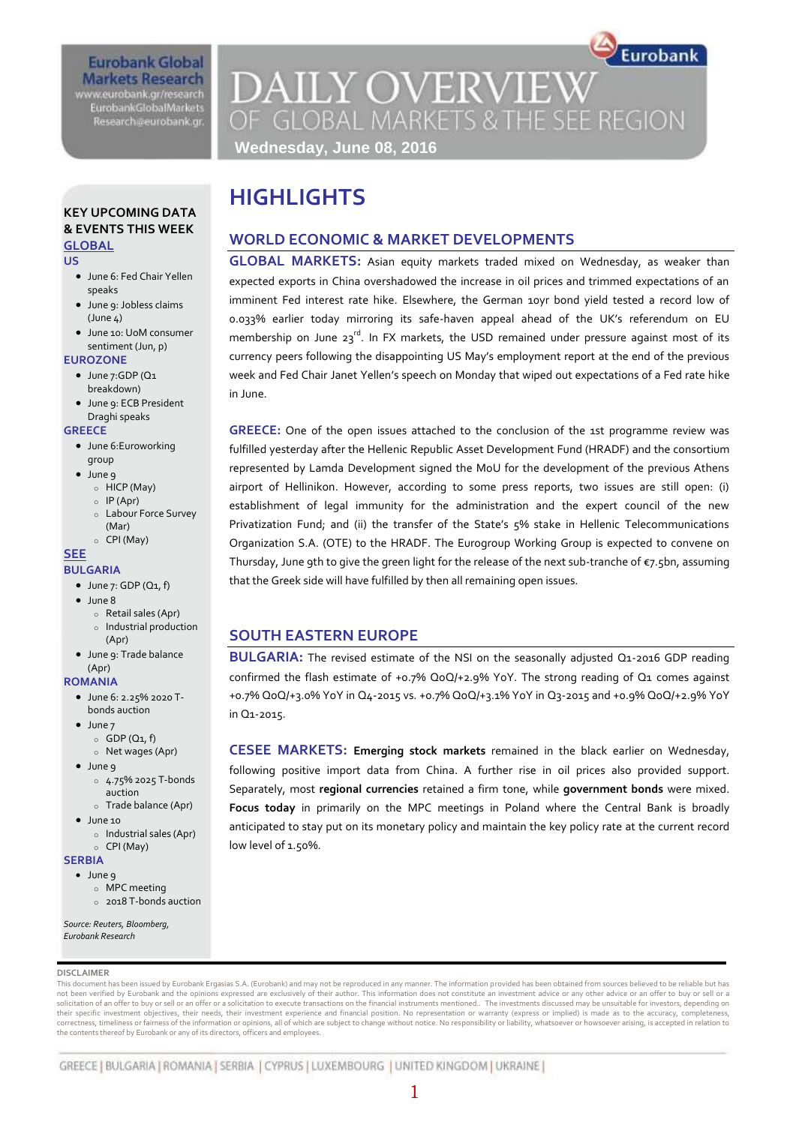# **Eurobank Global Markets Research EurobankGlobalMarkets**

www.eurobank.gr/research Research@eurobank.gr

# Eurobank **DAILY OVERVIEW** OF GLOBAL MARKETS & THE SEE REGION **Wednesday, June 08, 2016**

### **KEY UPCOMING DATA & EVENTS THIS WEEK GLOBAL**

#### **US**

- June 6: Fed Chair Yellen speaks
- June 9: Jobless claims  $(June A)$
- June 10: UoM consumer sentiment (Jun, p)

#### **EUROZONE**

- June 7:GDP (Q1 breakdown)
- June 9: ECB President Draghi speaks

#### **GREECE**

- June 6: Euroworking group
- June 9
	- o HICP (May)
	- $o$  IP (Apr) o Labour Force Survey
	- (Mar) o CPI (May)

#### **SEE**

#### **BULGARIA**

- $\bullet$  June 7: GDP (Q1, f)
- $\bullet$  June 8
	- o Retail sales (Apr)
	- o Industrial production (Apr)
- June 9: Trade balance (Apr)

#### **ROMANIA**

- June 6: 2.25% 2020 Tbonds auction
- June 7  $\circ$  GDP (Q1, f)
- o Net wages (Apr) • June 9
	- o 4.75% 2025 T-bonds auction
	- o Trade balance (Apr)
- $\bullet$  June 10
	- o Industrial sales (Apr) o CPI (May)

#### **SERBIA**

- June 9
	- o MPC meeting
	- o 2018 T-bonds auction

*Source: Reuters, Bloomberg, Eurobank Research*

#### **DISCLAIMER**

This document has been issued by Eurobank Ergasias S.A. (Eurobank) and may not be reproduced in any manner. The information provided has been obtained from sources believed to be reliable but has not been verified by Eurobank and the opinions expressed are exclusively of their author. This information does not constitute an investment advice or any other advice or an offer to buy or sell or a solicitation of an offer to buy or sell or an offer or a solicitation to execute transactions on the financial instruments mentioned.. The investments discussed may be unsuitable for investors, depending on<br>their specific correctness, timeliness or fairness of the information or opinions, all of which are subject to change without notice. No responsibility or liability, whatsoever or howsoever arising, is accepted in relation to the contents thereof by Eurobank or any of its directors, officers and employees.

# **HIGHLIGHTS**

# **WORLD ECONOMIC & MARKET DEVELOPMENTS**

**GLOBAL MARKETS:** Asian equity markets traded mixed on Wednesday, as weaker than expected exports in China overshadowed the increase in oil prices and trimmed expectations of an imminent Fed interest rate hike. Elsewhere, the German 10yr bond yield tested a record low of 0.033% earlier today mirroring its safe-haven appeal ahead of the UK's referendum on EU membership on June  $23^{rd}$ . In FX markets, the USD remained under pressure against most of its currency peers following the disappointing US May's employment report at the end of the previous week and Fed Chair Janet Yellen's speech on Monday that wiped out expectations of a Fed rate hike in June.

**GREECE:** One of the open issues attached to the conclusion of the 1st programme review was fulfilled yesterday after the Hellenic Republic Asset Development Fund (HRADF) and the consortium represented by Lamda Development signed the MoU for the development of the previous Athens airport of Hellinikon. However, according to some press reports, two issues are still open: (i) establishment of legal immunity for the administration and the expert council of the new Privatization Fund; and (ii) the transfer of the State's 5% stake in Hellenic Telecommunications Organization S.A. (OTE) to the HRADF. The Eurogroup Working Group is expected to convene on Thursday, June 9th to give the green light for the release of the next sub-tranche of  $\varepsilon$ 7.5bn, assuming that the Greek side will have fulfilled by then all remaining open issues.

# **SOUTH EASTERN EUROPE**

**BULGARIA:** The revised estimate of the NSI on the seasonally adjusted Q1-2016 GDP reading confirmed the flash estimate of +0.7% QoQ/+2.9% YoY. The strong reading of Q1 comes against +0.7% QoQ/+3.0% YoY in Q4-2015 vs. +0.7% QoQ/+3.1% YoY in Q3-2015 and +0.9% QoQ/+2.9% YoY in Q1-2015.

**CESEE MARKETS: Emerging stock markets** remained in the black earlier on Wednesday, following positive import data from China. A further rise in oil prices also provided support. Separately, most **regional currencies** retained a firm tone, while **government bonds** were mixed. **Focus today** in primarily on the MPC meetings in Poland where the Central Bank is broadly anticipated to stay put on its monetary policy and maintain the key policy rate at the current record low level of 1.50%.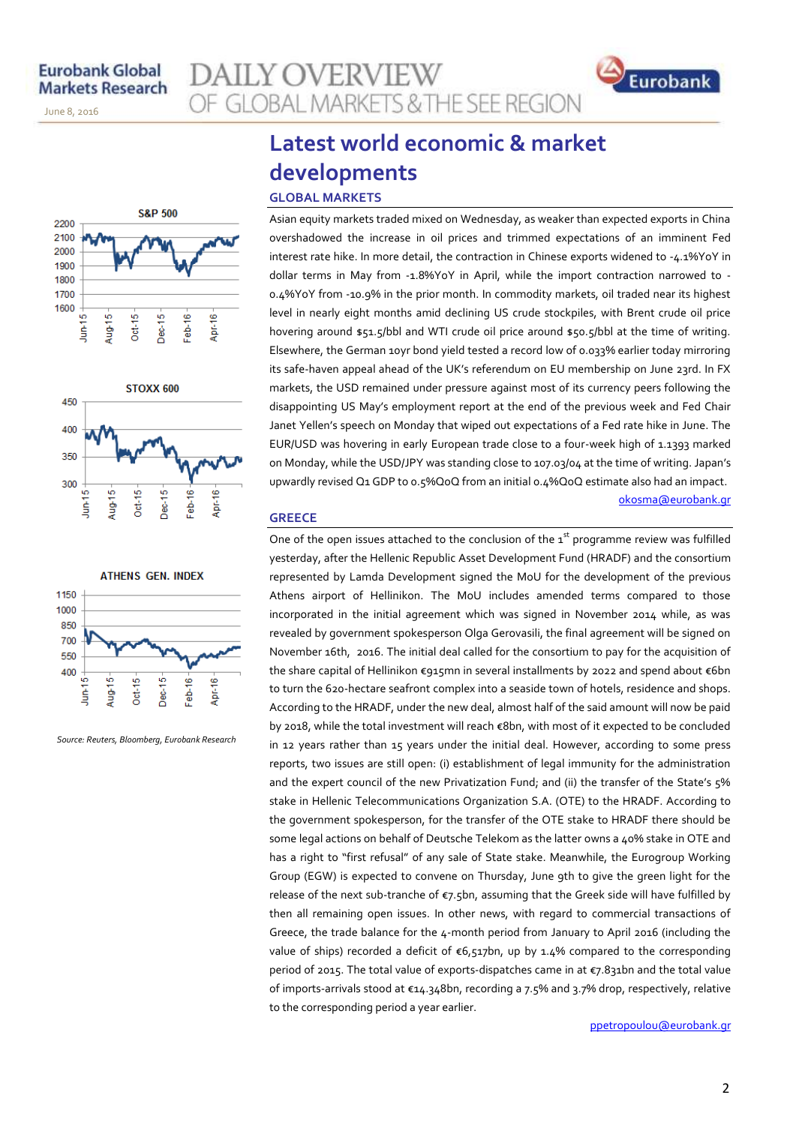November 14, 2013

June 8, 2016





**ATHENS GEN. INDEX** 1150 1000 850 700 550 400 쁘 Feb-16 Apr-16 Aug-15  $Oct-15$ Dec-15 È

*Source: Reuters, Bloomberg, Eurobank Research*

# **Latest world economic & market developments**

OF GLOBAL MARKETS & THE SEE REGION

### **GLOBAL MARKETS**

**AILY OVERVIEW** 

Asian equity markets traded mixed on Wednesday, as weaker than expected exports in China overshadowed the increase in oil prices and trimmed expectations of an imminent Fed interest rate hike. In more detail, the contraction in Chinese exports widened to -4.1%YoY in dollar terms in May from -1.8%YoY in April, while the import contraction narrowed to - 0.4%YoY from -10.9% in the prior month. In commodity markets, oil traded near its highest level in nearly eight months amid declining US crude stockpiles, with Brent crude oil price hovering around \$51.5/bbl and WTI crude oil price around \$50.5/bbl at the time of writing. Elsewhere, the German 10yr bond yield tested a record low of 0.033% earlier today mirroring its safe-haven appeal ahead of the UK's referendum on EU membership on June 23rd. In FX markets, the USD remained under pressure against most of its currency peers following the disappointing US May's employment report at the end of the previous week and Fed Chair Janet Yellen's speech on Monday that wiped out expectations of a Fed rate hike in June. The EUR/USD was hovering in early European trade close to a four-week high of 1.1393 marked on Monday, while the USD/JPY was standing close to 107.03/04 at the time of writing. Japan's upwardly revised Q1 GDP to 0.5%QoQ from an initial 0.4%QoQ estimate also had an impact.

okosma@eurobank.gr

Eurobank

### **GREECE**

One of the open issues attached to the conclusion of the  $1<sup>st</sup>$  programme review was fulfilled yesterday, after the Hellenic Republic Asset Development Fund (HRADF) and the consortium represented by Lamda Development signed the MoU for the development of the previous Athens airport of Hellinikon. The MoU includes amended terms compared to those incorporated in the initial agreement which was signed in November 2014 while, as was revealed by government spokesperson Olga Gerovasili, the final agreement will be signed on November 16th, 2016. The initial deal called for the consortium to pay for the acquisition of the share capital of Hellinikon €915mn in several installments by 2022 and spend about €6bn to turn the 620-hectare seafront complex into a seaside town of hotels, residence and shops. According to the HRADF, under the new deal, almost half of the said amount will now be paid by 2018, while the total investment will reach €8bn, with most of it expected to be concluded in 12 years rather than 15 years under the initial deal. However, according to some press reports, two issues are still open: (i) establishment of legal immunity for the administration and the expert council of the new Privatization Fund; and (ii) the transfer of the State's 5% stake in Hellenic Telecommunications Organization S.A. (OTE) to the HRADF. According to the government spokesperson, for the transfer of the OTE stake to HRADF there should be some legal actions on behalf of Deutsche Telekom as the latter owns a 40% stake in OTE and has a right to "first refusal" of any sale of State stake. Meanwhile, the Eurogroup Working Group (EGW) is expected to convene on Thursday, June 9th to give the green light for the release of the next sub-tranche of €7.5bn, assuming that the Greek side will have fulfilled by then all remaining open issues. In other news, with regard to commercial transactions of Greece, the trade balance for the 4-month period from January to April 2016 (including the value of ships) recorded a deficit of  $\epsilon$ 6,517bn, up by 1.4% compared to the corresponding period of 2015. The total value of exports-dispatches came in at €7.831bn and the total value of imports-arrivals stood at €14.348bn, recording a 7.5% and 3.7% drop, respectively, relative to the corresponding period a year earlier.

ppetropoulou@eurobank.gr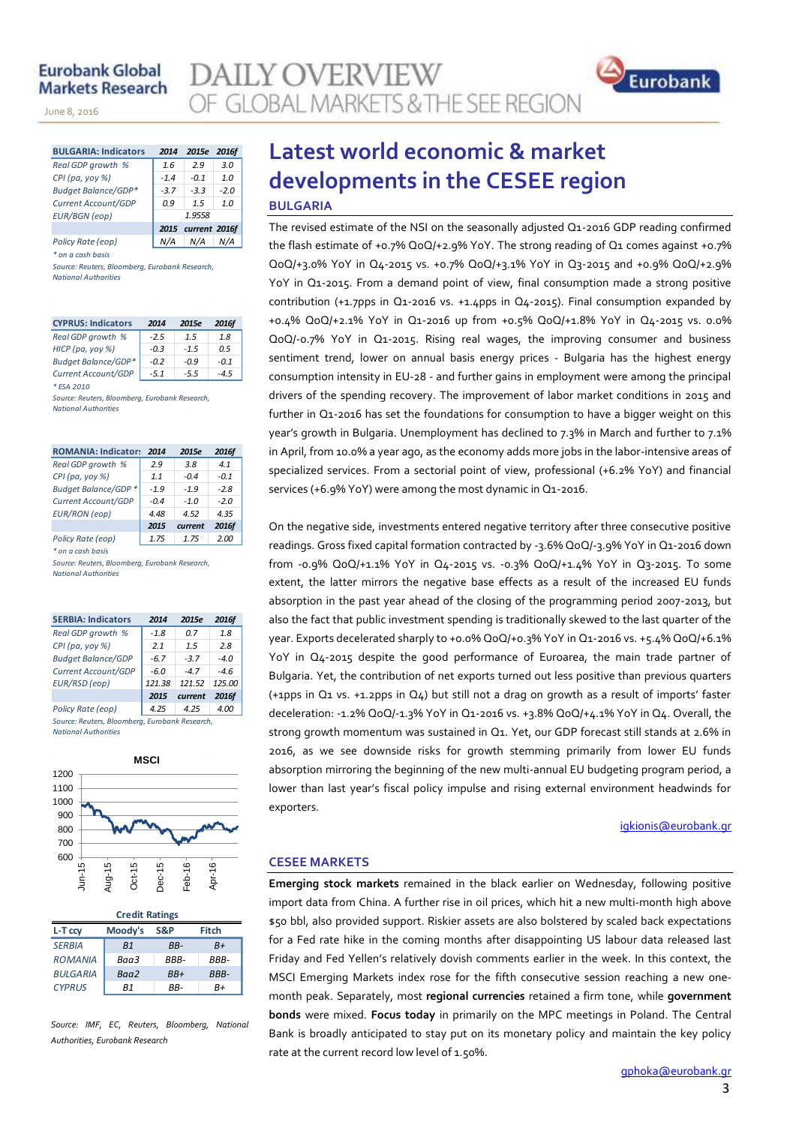# **Eurobank Global Markets Research**

November 14, 2013

**AILY OVERVIEW** OF GLOBAL MARKETS & THE SEE REGION



| <b>BULGARIA: Indicators</b> | 2014   | 2015e              | 2016f  |  |  |  |
|-----------------------------|--------|--------------------|--------|--|--|--|
| Real GDP growth %           | 1.6    | 2.9                | 3.0    |  |  |  |
| $CPI(pa, yoy \%)$           | $-1.4$ | $-0.1$             | 1.0    |  |  |  |
| <b>Budget Balance/GDP*</b>  | $-3.7$ | $-3.3$             | $-2.0$ |  |  |  |
| Current Account/GDP         | 0.9    | 1.5                | 1.0    |  |  |  |
| <b>EUR/BGN</b> (eop)        | 1.9558 |                    |        |  |  |  |
|                             |        | 2015 current 2016f |        |  |  |  |
| Policy Rate (eop)           |        | N/A                |        |  |  |  |

*\* on a cash basis*

*Source: Reuters, Bloomberg, Eurobank Research, National Authorities*

| <b>CYPRUS: Indicators</b>  | 2014   | 2015e  | 2016f  |
|----------------------------|--------|--------|--------|
| Real GDP growth %          | $-2.5$ | 1.5    | 1.8    |
| НІСР (ра, уоу %)           | $-0.3$ | $-1.5$ | 0.5    |
| <b>Budget Balance/GDP*</b> | $-0.2$ | $-0.9$ | $-0.1$ |
| Current Account/GDP        | $-5.1$ | $-5.5$ | $-4.5$ |
| * ESA 2010                 |        |        |        |

*Source: Reuters, Bloomberg, Eurobank Research, National Authorities*

| <b>ROMANIA: Indicators</b> | 2014   | 2015e   | 2016f  |
|----------------------------|--------|---------|--------|
| Real GDP growth %          | 2.9    | 3.8     | 4.1    |
| CPI (pa, yoy $%$ )         | 1.1    | $-0.4$  | $-0.1$ |
| Budget Balance/GDP *       | $-1.9$ | $-1.9$  | $-2.8$ |
| Current Account/GDP        | $-0.4$ | $-1.0$  | $-2.0$ |
| <b>EUR/RON</b> (eop)       | 4.48   | 4.52    | 4.35   |
|                            | 2015   | current | 2016f  |
| Policy Rate (eop)          | 1.75   | 1.75    | 2.00   |

*\* on a cash basis*

*Source: Reuters, Bloomberg, Eurobank Research, National Authorities*

| <b>SERBIA: Indicators</b>                      | 2014   | 2015e   | 2016f  |  |  |  |  |  |  |
|------------------------------------------------|--------|---------|--------|--|--|--|--|--|--|
| Real GDP growth %                              | $-1.8$ | 0.7     | 1.8    |  |  |  |  |  |  |
| CPI (pa, yoy %)                                | 2.1    | 1.5     | 2.8    |  |  |  |  |  |  |
| <b>Budget Balance/GDP</b>                      | $-6.7$ | $-3.7$  | $-4.0$ |  |  |  |  |  |  |
| Current Account/GDP                            | -6.0   | $-47$   | $-4.6$ |  |  |  |  |  |  |
| EUR/RSD (eop)                                  | 121.38 | 121.52  | 125.00 |  |  |  |  |  |  |
|                                                | 2015   | current | 2016f  |  |  |  |  |  |  |
| Policy Rate (eop)                              | 4.25   | 4.25    | 4.00   |  |  |  |  |  |  |
| Source: Reuters, Bloomberg, Eurobank Research, |        |         |        |  |  |  |  |  |  |

*National Authorities*



| <b>Credit Ratings</b> |                |       |              |  |  |  |  |  |  |
|-----------------------|----------------|-------|--------------|--|--|--|--|--|--|
| L-T ccv               | Moody's        | S&P   | <b>Fitch</b> |  |  |  |  |  |  |
| <b>SERBIA</b>         | B <sub>1</sub> | RR-   | $B+$         |  |  |  |  |  |  |
| <b>ROMANIA</b>        | Baa3           | RRR-  | RRR-         |  |  |  |  |  |  |
| <b>BULGARIA</b>       | Baa2           | $BB+$ | BBB-         |  |  |  |  |  |  |
| <b>CYPRUS</b>         | R1             | RR-   | R+           |  |  |  |  |  |  |

*Source: IMF, EC, Reuters, Bloomberg, National Authorities, Eurobank Research*

# **Latest world economic & market developments in the CESEE region BULGARIA**

The revised estimate of the NSI on the seasonally adjusted Q1-2016 GDP reading confirmed the flash estimate of +0.7% QoQ/+2.9% YoY. The strong reading of Q1 comes against +0.7% QoQ/+3.0% YoY in Q4-2015 vs. +0.7% QoQ/+3.1% YoY in Q3-2015 and +0.9% QoQ/+2.9% YoY in Q1-2015. From a demand point of view, final consumption made a strong positive contribution (+1.7pps in Q1-2016 vs. +1.4pps in Q4-2015). Final consumption expanded by +0.4% QoQ/+2.1% YoY in Q1-2016 up from +0.5% QoQ/+1.8% YoY in Q4-2015 vs. 0.0% QoQ/-0.7% YoY in Q1-2015. Rising real wages, the improving consumer and business sentiment trend, lower on annual basis energy prices - Bulgaria has the highest energy consumption intensity in EU-28 - and further gains in employment were among the principal drivers of the spending recovery. The improvement of labor market conditions in 2015 and further in Q1-2016 has set the foundations for consumption to have a bigger weight on this year's growth in Bulgaria. Unemployment has declined to 7.3% in March and further to 7.1% in April, from 10.0% a year ago, as the economy adds more jobs in the labor-intensive areas of specialized services. From a sectorial point of view, professional (+6.2% YoY) and financial services (+6.9% YoY) were among the most dynamic in Q1-2016.

On the negative side, investments entered negative territory after three consecutive positive readings. Gross fixed capital formation contracted by -3.6% QoQ/-3.9% YoY in Q1-2016 down from -0.9% QoQ/+1.1% YoY in Q4-2015 vs. -0.3% QoQ/+1.4% YoY in Q3-2015. To some extent, the latter mirrors the negative base effects as a result of the increased EU funds absorption in the past year ahead of the closing of the programming period 2007-2013, but also the fact that public investment spending is traditionally skewed to the last quarter of the year. Exports decelerated sharply to +0.0% QoQ/+0.3% YoY in Q1-2016 vs. +5.4% QoQ/+6.1% YoY in Q4-2015 despite the good performance of Euroarea, the main trade partner of Bulgaria. Yet, the contribution of net exports turned out less positive than previous quarters (+1pps in Q1 vs. +1.2pps in Q4) but still not a drag on growth as a result of imports' faster deceleration: -1.2% QoQ/-1.3% YoY in Q1-2016 vs. +3.8% QoQ/+4.1% YoY in Q4. Overall, the strong growth momentum was sustained in Q1. Yet, our GDP forecast still stands at 2.6% in 2016, as we see downside risks for growth stemming primarily from lower EU funds absorption mirroring the beginning of the new multi-annual EU budgeting program period, a lower than last year's fiscal policy impulse and rising external environment headwinds for exporters.

igkionis@eurobank.gr

Eurobank

# **CESEE MARKETS**

**Emerging stock markets** remained in the black earlier on Wednesday, following positive import data from China. A further rise in oil prices, which hit a new multi-month high above \$50 bbl, also provided support. Riskier assets are also bolstered by scaled back expectations for a Fed rate hike in the coming months after disappointing US labour data released last Friday and Fed Yellen's relatively dovish comments earlier in the week. In this context, the MSCI Emerging Markets index rose for the fifth consecutive session reaching a new onemonth peak. Separately, most **regional currencies** retained a firm tone, while **government bonds** were mixed. **Focus today** in primarily on the MPC meetings in Poland. The Central Bank is broadly anticipated to stay put on its monetary policy and maintain the key policy rate at the current record low level of 1.50%.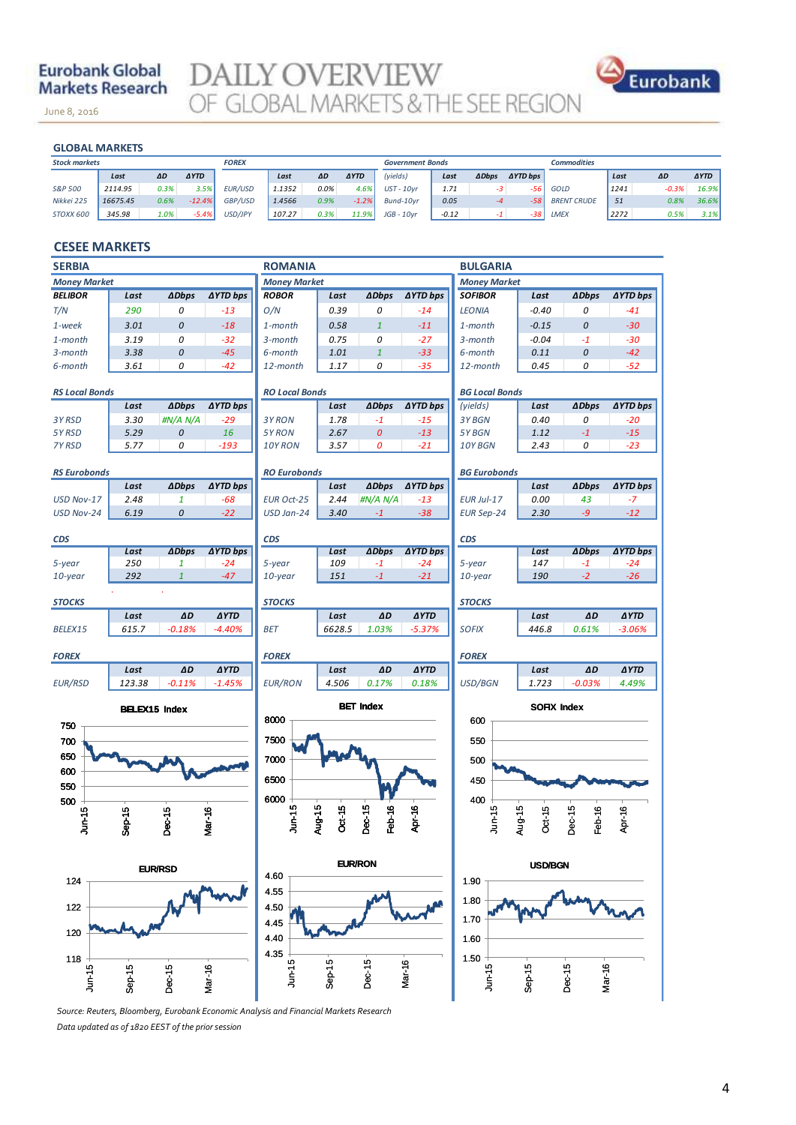# **Eurobank Global Markets Research**

June 8, 2016

**DAILY OVERVIEW**<br>OF GLOBAL MARKETS & THE SEE REGION



#### **GLOBAL MARKETS**

November 14, 2013

| <b>GLOBAL MARKETS</b> |          |      |             |                |        |      |             |                         |         |              |                 |                    |      |         |             |
|-----------------------|----------|------|-------------|----------------|--------|------|-------------|-------------------------|---------|--------------|-----------------|--------------------|------|---------|-------------|
| <b>Stock markets</b>  |          |      |             | <b>FOREX</b>   |        |      |             | <b>Government Bonds</b> |         |              |                 | <b>Commodities</b> |      |         |             |
|                       | Last     | ΔD   | <b>AYTD</b> |                | Last   | ΔD   | <b>AYTD</b> | (yields)                | Last    | <b>ADbps</b> | <b>AYTD bps</b> |                    | Last | ΔD      | <b>AYTD</b> |
| S&P 500               | 2114.95  | 0.3% | 3.5%        | <b>EUR/USD</b> | 1.1352 | 0.0% | 4.6%        | $UST - 10yr$            | 1.71    | -3           | -56             | GOLD               | 1241 | $-0.3%$ | 16.9%       |
| Nikkei 225            | 16675.45 | 0.6% | $-12.4%$    | <b>GBP/USD</b> | 1.4566 | 0.9% | $-1.2%$     | Bund-10vr               | 0.05    | $-4$         | $-58'$          | <b>BRENT CRUDE</b> | 51   | 0.8%    | 36.6%       |
| STOXX 600             | 345.98   | 1.0% | $-5.4%$     | USD/JPY        | 107.27 | 0.3% | 11.9%       | $JGB - 10$ vr           | $-0.12$ |              | -381            | LMEX               | 2272 | 0.5%    | 3.1%        |
|                       |          |      |             |                |        |      |             |                         |         |              |                 |                    |      |         |             |

### **CESEE MARKETS**

| <b>SERBIA</b><br><b>ROMANIA</b> |                      |                     |                 |                        |                     |                    | <b>BULGARIA</b> |                       |                    |                  |                 |
|---------------------------------|----------------------|---------------------|-----------------|------------------------|---------------------|--------------------|-----------------|-----------------------|--------------------|------------------|-----------------|
| <b>Money Market</b>             |                      |                     |                 |                        | <b>Money Market</b> |                    |                 | <b>Money Market</b>   |                    |                  |                 |
| <b>BELIBOR</b>                  | Last                 | <b>ADbps</b>        | <b>AYTD bps</b> | <b>ROBOR</b>           | Last                | <b>ADbps</b>       | ∆YTD bps        | <b>SOFIBOR</b>        | Last               | <b>ADbps</b>     | <b>∆YTD bps</b> |
| T/N                             | 290                  | 0                   | $-13$           | O/N                    | 0.39                | 0                  | $-14$           | <b>LEONIA</b>         | $-0.40$            | 0                | $-41$           |
| 1-week                          | 3.01                 | 0                   | $-18$           | 1-month                | 0.58                | $\mathbf{1}$       | $-11$           | 1-month               | $-0.15$            | 0                | $-30$           |
| 1-month                         | 3.19                 | 0                   | $-32$           | 3-month                | 0.75                | 0                  | $-27$           | 3-month               | $-0.04$            | $-1$             | $-30$           |
| 3-month                         | 3.38                 | 0                   | $-45$           | 6-month                | 1.01                | $\mathbf{1}$       | $-33$           | 6-month               | 0.11               | 0                | $-42$           |
| 6-month                         | 3.61                 | 0                   | $-42$           | 12-month               | 1.17                | 0                  | $-35$           | 12-month              | 0.45               | 0                | $-52$           |
| <b>RS Local Bonds</b>           |                      |                     |                 | <b>RO Local Bonds</b>  |                     |                    |                 | <b>BG Local Bonds</b> |                    |                  |                 |
|                                 | Last                 | <b>ADbps</b>        | <b>AYTD bps</b> |                        | Last                | <b>ADbps</b>       | <b>AYTD bps</b> | (yields)              | Last               | <b>ADbps</b>     | ∆YTD bps        |
| 3Y RSD                          | 3.30                 | #N/A N/A            | $-29$           | 3Y RON                 | 1.78                | $-1$               | $-15$           | 3Y BGN                | 0.40               | 0                | $-20$           |
| 5Y RSD                          | 5.29                 | 0                   | 16              | 5Y RON                 | 2.67                | $\pmb{\mathit{O}}$ | $-13$           | 5Y BGN                | 1.12               | $-1$             | $-15$           |
| 7Y RSD                          | 5.77                 | 0                   | $-193$          | 10Y RON                | 3.57                | 0                  | $-21$           | 10Y BGN               | 2.43               | 0                | $-23$           |
| <b>RS Eurobonds</b>             |                      |                     |                 | <b>RO Eurobonds</b>    |                     |                    |                 | <b>BG Eurobonds</b>   |                    |                  |                 |
|                                 | Last                 | <b>ADbps</b>        | <b>AYTD bps</b> |                        | Last                | <b>ADbps</b>       | <b>AYTD bps</b> |                       | Last               | <b>ADbps</b>     | <b>AYTD bps</b> |
| USD Nov-17                      | 2.48                 | $\pmb{\mathcal{1}}$ | $-68$           | <b>EUR Oct-25</b>      | 2.44                | #N/A N/A           | $-13$           | <b>EUR Jul-17</b>     | 0.00               | 43               | $-7$            |
| USD Nov-24                      | 6.19                 | 0                   | $-22$           | USD Jan-24             | 3.40                | $-1$               | $-38$           | <b>EUR Sep-24</b>     | 2.30               | -9               | $-12$           |
|                                 |                      |                     |                 | <b>CDS</b>             |                     |                    |                 | <b>CDS</b>            |                    |                  |                 |
| <b>CDS</b>                      | Last                 | <b>ADbps</b>        | <b>AYTD bps</b> |                        | Last                | <b>ADbps</b>       | ∆YTD bps        |                       | Last               | <b>ADbps</b>     | <b>AYTD bps</b> |
| 5-year                          | 250                  | 1                   | $-24$           | 5-year                 | 109                 | $-1$               | $-24$           | 5-year                | 147                | $-1$             | $-24$           |
| 10-year                         | 292                  | $\mathbf{1}$        | $-47$           | $10$ -year             | 151                 | $-1$               | $-21$           | 10-year               | 190                | $-2$             | $-26$           |
| <b>STOCKS</b>                   |                      |                     |                 | <b>STOCKS</b>          |                     |                    |                 | <b>STOCKS</b>         |                    |                  |                 |
|                                 | Last                 | ΔD                  | <b>AYTD</b>     |                        | Last                | $\Delta D$         | <b>AYTD</b>     |                       | Last               | ΔD               | <b>AYTD</b>     |
| BELEX15                         | 615.7                | $-0.18%$            | $-4.40%$        | <b>BET</b>             | 6628.5              | 1.03%              | $-5.37%$        | <b>SOFIX</b>          | 446.8              | 0.61%            | $-3.06%$        |
| <b>FOREX</b>                    |                      |                     |                 | <b>FOREX</b>           |                     |                    |                 | <b>FOREX</b>          |                    |                  |                 |
|                                 | Last                 | ΔD                  | <b>AYTD</b>     |                        | Last                | ΔD                 | <b>AYTD</b>     |                       | Last               | AD               | <b>AYTD</b>     |
| <b>EUR/RSD</b>                  | 123.38               | $-0.11%$            | $-1.45%$        | <b>EUR/RON</b>         | 4.506               | 0.17%              | 0.18%           | USD/BGN               | 1.723              | $-0.03%$         | 4.49%           |
|                                 | <b>BELEX15 Index</b> |                     |                 |                        |                     | <b>BET Index</b>   |                 |                       | <b>SOFIX Index</b> |                  |                 |
| 750                             |                      |                     |                 | 8000                   |                     |                    |                 | 600                   |                    |                  |                 |
| 700                             |                      |                     |                 | 7500                   |                     |                    |                 | 550                   |                    |                  |                 |
| 650                             |                      |                     |                 | 7000                   |                     |                    |                 | 500                   |                    |                  |                 |
| 600                             |                      |                     |                 |                        |                     |                    |                 |                       |                    |                  |                 |
| 550                             |                      |                     |                 | 6500                   |                     |                    |                 | 450                   |                    |                  |                 |
| 500                             |                      |                     |                 | 6000                   |                     |                    |                 | 400                   |                    |                  |                 |
| Jun-15                          |                      |                     |                 | Jun-15                 | Aug-15<br>Oct-15    | Dec-15<br>Feb-16   | Apr-16          | <b>Jun-15</b>         | Oct-15             | Dec-15<br>Feb-16 | Apr-16          |
|                                 | $Sep-15$             | Dec-15              | Mar-16          |                        |                     |                    |                 |                       | Aug-15             |                  |                 |
|                                 |                      |                     |                 |                        |                     |                    |                 |                       |                    |                  |                 |
| EUR/RSD                         |                      |                     |                 | <b>EUR/RON</b><br>4.60 |                     |                    |                 | <b>USD/BGN</b>        |                    |                  |                 |
| 124                             |                      |                     |                 | 4.55                   |                     |                    |                 | 1.90                  |                    |                  |                 |
| 122<br>4.50                     |                      |                     |                 |                        |                     | 1.80               |                 |                       |                    |                  |                 |
|                                 | 4.45                 |                     |                 |                        |                     |                    |                 | 1.70                  |                    |                  |                 |
| 120                             |                      |                     |                 | 4.40                   |                     |                    |                 | 1.60                  |                    |                  |                 |
| 118                             |                      |                     |                 | 4.35                   |                     |                    |                 | $1.50$                |                    |                  |                 |
| Jun-15                          | $Sep-15$             | Dec-15              | Mar-16          | $J$ un-15              | $Sep-15$            | Dec-15             | Mar-16          | $J$ un-15             | $Sep-15$           | Dec-15<br>Mar-16 |                 |
|                                 |                      |                     |                 |                        |                     |                    |                 |                       |                    |                  |                 |

*Source: Reuters, Bloomberg, Eurobank Economic Analysis and Financial Markets Research*

*Data updated as of 1820 EEST of the prior session*